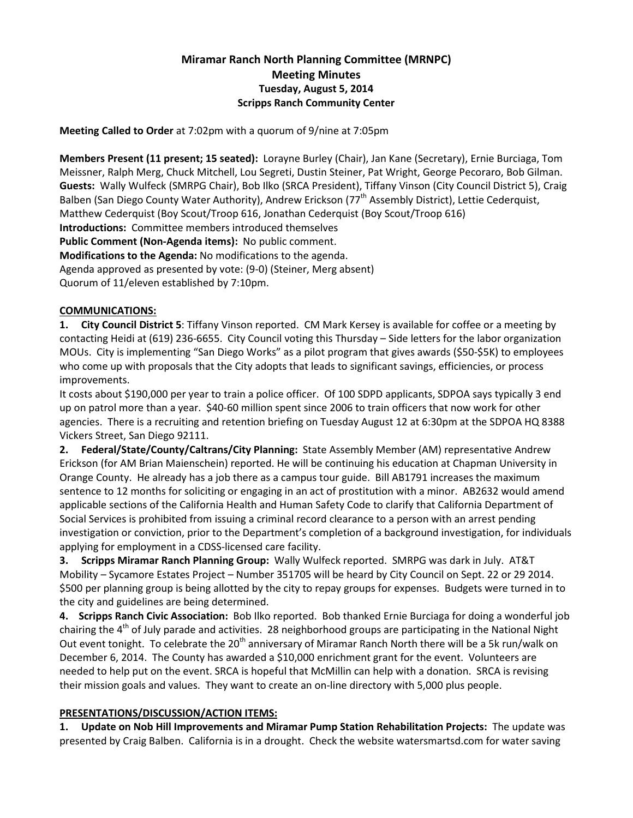# Miramar Ranch North Planning Committee (MRNPC) Meeting Minutes Tuesday, August 5, 2014 Scripps Ranch Community Center

Meeting Called to Order at 7:02pm with a quorum of 9/nine at 7:05pm

Members Present (11 present; 15 seated): Lorayne Burley (Chair), Jan Kane (Secretary), Ernie Burciaga, Tom Meissner, Ralph Merg, Chuck Mitchell, Lou Segreti, Dustin Steiner, Pat Wright, George Pecoraro, Bob Gilman. Guests: Wally Wulfeck (SMRPG Chair), Bob Ilko (SRCA President), Tiffany Vinson (City Council District 5), Craig Balben (San Diego County Water Authority), Andrew Erickson (77<sup>th</sup> Assembly District), Lettie Cederquist, Matthew Cederquist (Boy Scout/Troop 616, Jonathan Cederquist (Boy Scout/Troop 616) Introductions: Committee members introduced themselves Public Comment (Non-Agenda items): No public comment. Modifications to the Agenda: No modifications to the agenda. Agenda approved as presented by vote: (9-0) (Steiner, Merg absent) Quorum of 11/eleven established by 7:10pm.

### COMMUNICATIONS:

1. City Council District 5: Tiffany Vinson reported. CM Mark Kersey is available for coffee or a meeting by contacting Heidi at (619) 236-6655. City Council voting this Thursday – Side letters for the labor organization MOUs. City is implementing "San Diego Works" as a pilot program that gives awards (\$50-\$5K) to employees who come up with proposals that the City adopts that leads to significant savings, efficiencies, or process improvements.

It costs about \$190,000 per year to train a police officer. Of 100 SDPD applicants, SDPOA says typically 3 end up on patrol more than a year. \$40-60 million spent since 2006 to train officers that now work for other agencies. There is a recruiting and retention briefing on Tuesday August 12 at 6:30pm at the SDPOA HQ 8388 Vickers Street, San Diego 92111.

2. Federal/State/County/Caltrans/City Planning: State Assembly Member (AM) representative Andrew Erickson (for AM Brian Maienschein) reported. He will be continuing his education at Chapman University in Orange County. He already has a job there as a campus tour guide. Bill AB1791 increases the maximum sentence to 12 months for soliciting or engaging in an act of prostitution with a minor. AB2632 would amend applicable sections of the California Health and Human Safety Code to clarify that California Department of Social Services is prohibited from issuing a criminal record clearance to a person with an arrest pending investigation or conviction, prior to the Department's completion of a background investigation, for individuals applying for employment in a CDSS-licensed care facility.

3. Scripps Miramar Ranch Planning Group: Wally Wulfeck reported. SMRPG was dark in July. AT&T Mobility – Sycamore Estates Project – Number 351705 will be heard by City Council on Sept. 22 or 29 2014. \$500 per planning group is being allotted by the city to repay groups for expenses. Budgets were turned in to the city and guidelines are being determined.

4. Scripps Ranch Civic Association: Bob Ilko reported. Bob thanked Ernie Burciaga for doing a wonderful job chairing the 4<sup>th</sup> of July parade and activities. 28 neighborhood groups are participating in the National Night Out event tonight. To celebrate the 20<sup>th</sup> anniversary of Miramar Ranch North there will be a 5k run/walk on December 6, 2014. The County has awarded a \$10,000 enrichment grant for the event. Volunteers are needed to help put on the event. SRCA is hopeful that McMillin can help with a donation. SRCA is revising their mission goals and values. They want to create an on-line directory with 5,000 plus people.

## PRESENTATIONS/DISCUSSION/ACTION ITEMS:

1. Update on Nob Hill Improvements and Miramar Pump Station Rehabilitation Projects: The update was presented by Craig Balben. California is in a drought. Check the website watersmartsd.com for water saving